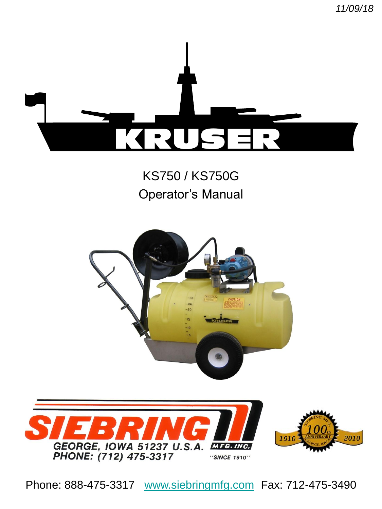*11/09/18*



# KS750 / KS750G Operator's Manual





Phone: 888-475-3317 [www.siebringmfg.com](http://www.siebringmfg.com/) Fax: 712-475-3490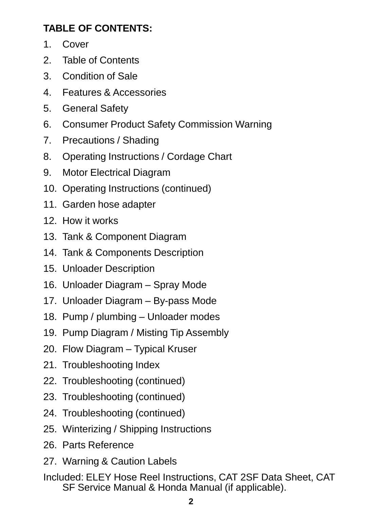### **TABLE OF CONTENTS:**

- 1. Cover
- 2. Table of Contents
- 3. Condition of Sale
- 4. Features & Accessories
- 5. General Safety
- 6. Consumer Product Safety Commission Warning
- 7. Precautions / Shading
- 8. Operating Instructions / Cordage Chart
- 9. Motor Electrical Diagram
- 10. Operating Instructions (continued)
- 11. Garden hose adapter
- 12. How it works
- 13. Tank & Component Diagram
- 14. Tank & Components Description
- 15. Unloader Description
- 16. Unloader Diagram Spray Mode
- 17. Unloader Diagram By-pass Mode
- 18. Pump / plumbing Unloader modes
- 19. Pump Diagram / Misting Tip Assembly
- 20. Flow Diagram Typical Kruser
- 21. Troubleshooting Index
- 22. Troubleshooting (continued)
- 23. Troubleshooting (continued)
- 24. Troubleshooting (continued)
- 25. Winterizing / Shipping Instructions
- 26. Parts Reference
- 27. Warning & Caution Labels
- Included: ELEY Hose Reel Instructions, CAT 2SF Data Sheet, CAT SF Service Manual & Honda Manual (if applicable).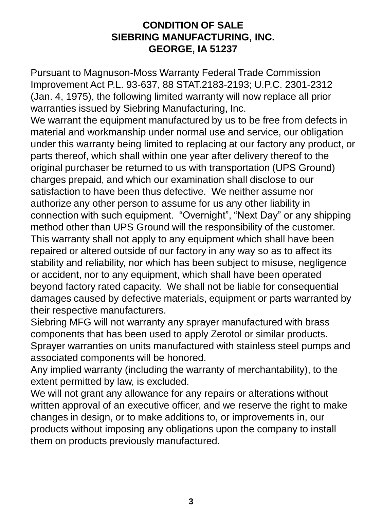### **CONDITION OF SALE SIEBRING MANUFACTURING, INC. GEORGE, IA 51237**

Pursuant to Magnuson-Moss Warranty Federal Trade Commission Improvement Act P.L. 93-637, 88 STAT.2183-2193; U.P.C. 2301-2312 (Jan. 4, 1975), the following limited warranty will now replace all prior warranties issued by Siebring Manufacturing, Inc.

We warrant the equipment manufactured by us to be free from defects in material and workmanship under normal use and service, our obligation under this warranty being limited to replacing at our factory any product, or parts thereof, which shall within one year after delivery thereof to the original purchaser be returned to us with transportation (UPS Ground) charges prepaid, and which our examination shall disclose to our satisfaction to have been thus defective. We neither assume nor authorize any other person to assume for us any other liability in connection with such equipment. "Overnight", "Next Day" or any shipping method other than UPS Ground will the responsibility of the customer. This warranty shall not apply to any equipment which shall have been repaired or altered outside of our factory in any way so as to affect its stability and reliability, nor which has been subject to misuse, negligence or accident, nor to any equipment, which shall have been operated beyond factory rated capacity. We shall not be liable for consequential damages caused by defective materials, equipment or parts warranted by their respective manufacturers.

Siebring MFG will not warranty any sprayer manufactured with brass components that has been used to apply Zerotol or similar products. Sprayer warranties on units manufactured with stainless steel pumps and associated components will be honored.

Any implied warranty (including the warranty of merchantability), to the extent permitted by law, is excluded.

We will not grant any allowance for any repairs or alterations without written approval of an executive officer, and we reserve the right to make changes in design, or to make additions to, or improvements in, our products without imposing any obligations upon the company to install them on products previously manufactured.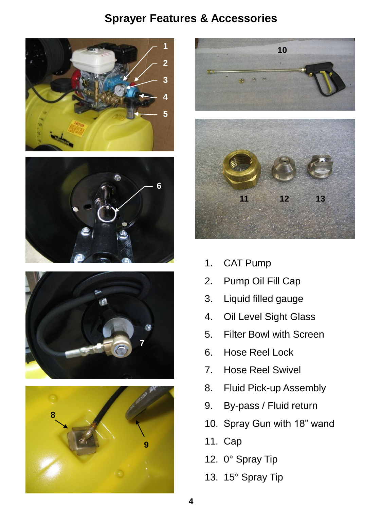### **Sprayer Features & Accessories**











- 1. CAT Pump
- 2. Pump Oil Fill Cap
- 3. Liquid filled gauge
- 4. Oil Level Sight Glass
- 5. Filter Bowl with Screen
- 6. Hose Reel Lock
- 7. Hose Reel Swivel
- 8. Fluid Pick-up Assembly
- 9. By-pass / Fluid return
- 10. Spray Gun with 18" wand
- 11. Cap
- 12. 0° Spray Tip
- 13. 15° Spray Tip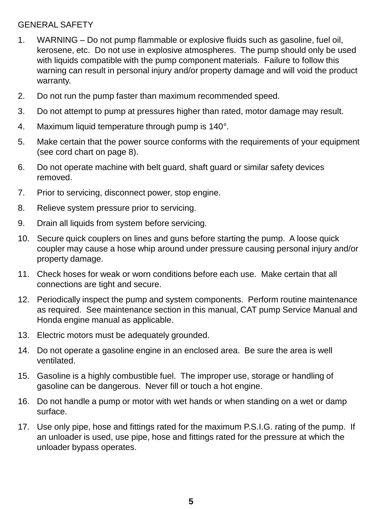#### GENERAL SAFETY

- 1. WARNING Do not pump flammable or explosive fluids such as gasoline, fuel oil, kerosene, etc. Do not use in explosive atmospheres. The pump should only be used with liquids compatible with the pump component materials. Failure to follow this warning can result in personal injury and/or property damage and will void the product warranty.
- 2. Do not run the pump faster than maximum recommended speed.
- 3. Do not attempt to pump at pressures higher than rated, motor damage may result.
- 4. Maximum liquid temperature through pump is 140°.
- 5. Make certain that the power source conforms with the requirements of your equipment (see cord chart on page 8).
- 6. Do not operate machine with belt guard, shaft guard or similar safety devices removed.
- 7. Prior to servicing, disconnect power, stop engine.
- 8. Relieve system pressure prior to servicing.
- 9. Drain all liquids from system before servicing.
- 10. Secure quick couplers on lines and guns before starting the pump. A loose quick coupler may cause a hose whip around under pressure causing personal injury and/or property damage.
- 11. Check hoses for weak or worn conditions before each use. Make certain that all connections are tight and secure.
- 12. Periodically inspect the pump and system components. Perform routine maintenance as required. See maintenance section in this manual, CAT pump Service Manual and Honda engine manual as applicable.
- 13. Electric motors must be adequately grounded.
- 14. Do not operate a gasoline engine in an enclosed area. Be sure the area is well ventilated.
- 15. Gasoline is a highly combustible fuel. The improper use, storage or handling of gasoline can be dangerous. Never fill or touch a hot engine.
- 16. Do not handle a pump or motor with wet hands or when standing on a wet or damp surface.
- 17. Use only pipe, hose and fittings rated for the maximum P.S.I.G. rating of the pump. If an unloader is used, use pipe, hose and fittings rated for the pressure at which the unloader bypass operates.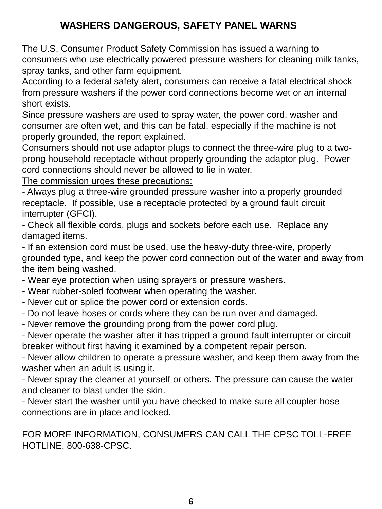### **WASHERS DANGEROUS, SAFETY PANEL WARNS**

The U.S. Consumer Product Safety Commission has issued a warning to consumers who use electrically powered pressure washers for cleaning milk tanks, spray tanks, and other farm equipment.

According to a federal safety alert, consumers can receive a fatal electrical shock from pressure washers if the power cord connections become wet or an internal short exists.

Since pressure washers are used to spray water, the power cord, washer and consumer are often wet, and this can be fatal, especially if the machine is not properly grounded, the report explained.

Consumers should not use adaptor plugs to connect the three-wire plug to a twoprong household receptacle without properly grounding the adaptor plug. Power cord connections should never be allowed to lie in water.

The commission urges these precautions:

- Always plug a three-wire grounded pressure washer into a properly grounded receptacle. If possible, use a receptacle protected by a ground fault circuit interrupter (GFCI).

- Check all flexible cords, plugs and sockets before each use. Replace any damaged items.

- If an extension cord must be used, use the heavy-duty three-wire, properly grounded type, and keep the power cord connection out of the water and away from the item being washed.

- Wear eye protection when using sprayers or pressure washers.
- Wear rubber-soled footwear when operating the washer.
- Never cut or splice the power cord or extension cords.
- Do not leave hoses or cords where they can be run over and damaged.
- Never remove the grounding prong from the power cord plug.

- Never operate the washer after it has tripped a ground fault interrupter or circuit breaker without first having it examined by a competent repair person.

- Never allow children to operate a pressure washer, and keep them away from the washer when an adult is using it.

- Never spray the cleaner at yourself or others. The pressure can cause the water and cleaner to blast under the skin.

- Never start the washer until you have checked to make sure all coupler hose connections are in place and locked.

### FOR MORE INFORMATION, CONSUMERS CAN CALL THE CPSC TOLL-FREE HOTLINE, 800-638-CPSC.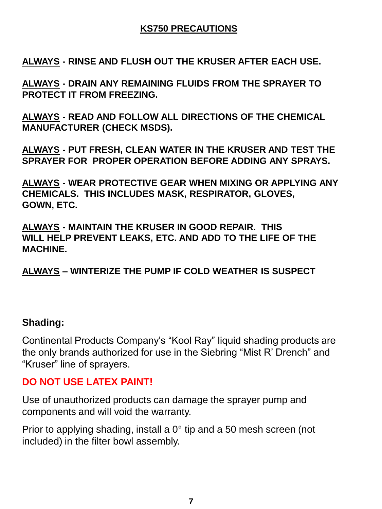### **KS750 PRECAUTIONS**

**ALWAYS - RINSE AND FLUSH OUT THE KRUSER AFTER EACH USE.**

**ALWAYS - DRAIN ANY REMAINING FLUIDS FROM THE SPRAYER TO PROTECT IT FROM FREEZING.**

**ALWAYS - READ AND FOLLOW ALL DIRECTIONS OF THE CHEMICAL MANUFACTURER (CHECK MSDS).**

**ALWAYS - PUT FRESH, CLEAN WATER IN THE KRUSER AND TEST THE SPRAYER FOR PROPER OPERATION BEFORE ADDING ANY SPRAYS.**

**ALWAYS - WEAR PROTECTIVE GEAR WHEN MIXING OR APPLYING ANY CHEMICALS. THIS INCLUDES MASK, RESPIRATOR, GLOVES, GOWN, ETC.**

**ALWAYS - MAINTAIN THE KRUSER IN GOOD REPAIR. THIS WILL HELP PREVENT LEAKS, ETC. AND ADD TO THE LIFE OF THE MACHINE.**

**ALWAYS – WINTERIZE THE PUMP IF COLD WEATHER IS SUSPECT**

### **Shading:**

Continental Products Company's "Kool Ray" liquid shading products are the only brands authorized for use in the Siebring "Mist R' Drench" and "Kruser" line of sprayers.

### **DO NOT USE LATEX PAINT!**

Use of unauthorized products can damage the sprayer pump and components and will void the warranty.

Prior to applying shading, install a 0° tip and a 50 mesh screen (not included) in the filter bowl assembly.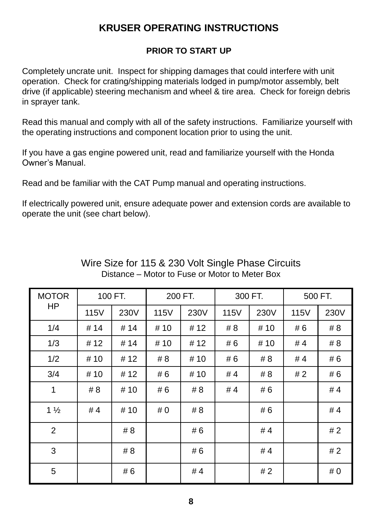### **KRUSER OPERATING INSTRUCTIONS**

### **PRIOR TO START UP**

Completely uncrate unit. Inspect for shipping damages that could interfere with unit operation. Check for crating/shipping materials lodged in pump/motor assembly, belt drive (if applicable) steering mechanism and wheel & tire area. Check for foreign debris in sprayer tank.

Read this manual and comply with all of the safety instructions. Familiarize yourself with the operating instructions and component location prior to using the unit.

If you have a gas engine powered unit, read and familiarize yourself with the Honda Owner's Manual.

Read and be familiar with the CAT Pump manual and operating instructions.

If electrically powered unit, ensure adequate power and extension cords are available to operate the unit (see chart below).

| <b>MOTOR</b><br><b>HP</b> | 100 FT. |      | 200 FT. |      | 300 FT. |      | 500 FT. |      |
|---------------------------|---------|------|---------|------|---------|------|---------|------|
|                           | 115V    | 230V | 115V    | 230V | 115V    | 230V | 115V    | 230V |
| 1/4                       | #14     | #14  | # 10    | # 12 | #8      | # 10 | #6      | # 8  |
| 1/3                       | #12     | #14  | # 10    | #12  | # 6     | # 10 | #4      | # 8  |
| 1/2                       | # 10    | #12  | # 8     | # 10 | #6      | # 8  | # 4     | # 6  |
| 3/4                       | # 10    | #12  | #6      | # 10 | #4      | # 8  | # 2     | # 6  |
| 1                         | # 8     | # 10 | #6      | # 8  | #4      | # 6  |         | #4   |
| $1\frac{1}{2}$            | #4      | # 10 | #0      | # 8  |         | # 6  |         | #4   |
| $\overline{2}$            |         | # 8  |         | # 6  |         | #4   |         | #2   |
| 3                         |         | # 8  |         | # 6  |         | #4   |         | #2   |
| 5                         |         | # 6  |         | #4   |         | #2   |         | #0   |

### Wire Size for 115 & 230 Volt Single Phase Circuits Distance – Motor to Fuse or Motor to Meter Box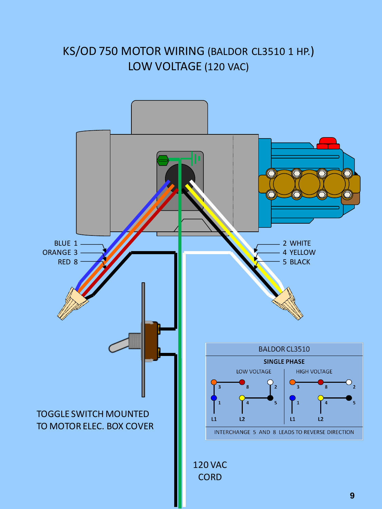### KS/OD 750 MOTOR WIRING (BALDOR CL3510 1 HP.) LOW VOLTAGE (120 VAC)

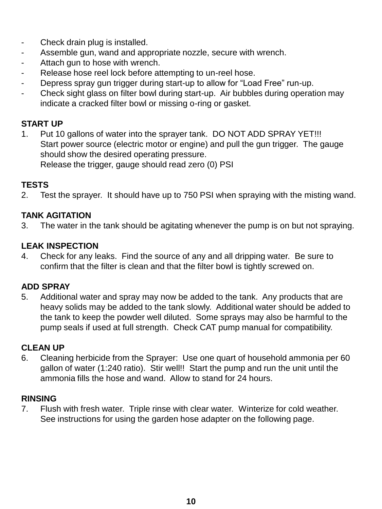- Check drain plug is installed.
- Assemble gun, wand and appropriate nozzle, secure with wrench.
- Attach gun to hose with wrench.
- Release hose reel lock before attempting to un-reel hose.
- Depress spray gun trigger during start-up to allow for "Load Free" run-up.
- Check sight glass on filter bowl during start-up. Air bubbles during operation may indicate a cracked filter bowl or missing o-ring or gasket.

### **START UP**

1. Put 10 gallons of water into the sprayer tank. DO NOT ADD SPRAY YET!!! Start power source (electric motor or engine) and pull the gun trigger. The gauge should show the desired operating pressure. Release the trigger, gauge should read zero (0) PSI

#### **TESTS**

2. Test the sprayer. It should have up to 750 PSI when spraying with the misting wand.

#### **TANK AGITATION**

3. The water in the tank should be agitating whenever the pump is on but not spraying.

#### **LEAK INSPECTION**

4. Check for any leaks. Find the source of any and all dripping water. Be sure to confirm that the filter is clean and that the filter bowl is tightly screwed on.

#### **ADD SPRAY**

5. Additional water and spray may now be added to the tank. Any products that are heavy solids may be added to the tank slowly. Additional water should be added to the tank to keep the powder well diluted. Some sprays may also be harmful to the pump seals if used at full strength. Check CAT pump manual for compatibility.

#### **CLEAN UP**

6. Cleaning herbicide from the Sprayer: Use one quart of household ammonia per 60 gallon of water (1:240 ratio). Stir well!! Start the pump and run the unit until the ammonia fills the hose and wand. Allow to stand for 24 hours.

#### **RINSING**

7. Flush with fresh water. Triple rinse with clear water. Winterize for cold weather. See instructions for using the garden hose adapter on the following page.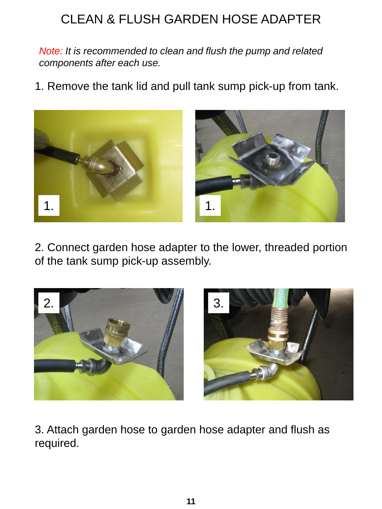# CLEAN & FLUSH GARDEN HOSE ADAPTER

*Note: It is recommended to clean and flush the pump and related components after each use.*

1. Remove the tank lid and pull tank sump pick-up from tank.



2. Connect garden hose adapter to the lower, threaded portion of the tank sump pick-up assembly.



3. Attach garden hose to garden hose adapter and flush as required.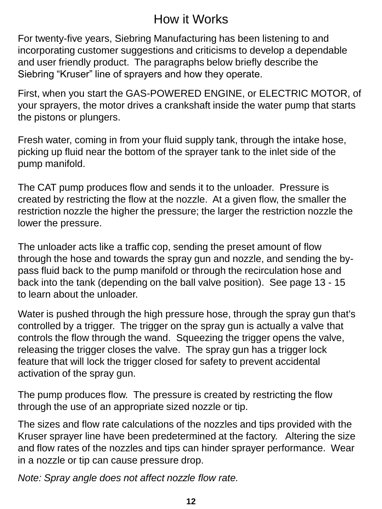# How it Works

For twenty-five years, Siebring Manufacturing has been listening to and incorporating customer suggestions and criticisms to develop a dependable and user friendly product. The paragraphs below briefly describe the Siebring "Kruser" line of sprayers and how they operate.

First, when you start the GAS-POWERED ENGINE, or ELECTRIC MOTOR, of your sprayers, the motor drives a crankshaft inside the water pump that starts the pistons or plungers.

Fresh water, coming in from your fluid supply tank, through the intake hose, picking up fluid near the bottom of the sprayer tank to the inlet side of the pump manifold.

The CAT pump produces flow and sends it to the unloader. Pressure is created by restricting the flow at the nozzle. At a given flow, the smaller the restriction nozzle the higher the pressure; the larger the restriction nozzle the lower the pressure.

The unloader acts like a traffic cop, sending the preset amount of flow through the hose and towards the spray gun and nozzle, and sending the bypass fluid back to the pump manifold or through the recirculation hose and back into the tank (depending on the ball valve position). See page 13 - 15 to learn about the unloader.

Water is pushed through the high pressure hose, through the spray gun that's controlled by a trigger. The trigger on the spray gun is actually a valve that controls the flow through the wand. Squeezing the trigger opens the valve, releasing the trigger closes the valve. The spray gun has a trigger lock feature that will lock the trigger closed for safety to prevent accidental activation of the spray gun.

The pump produces flow. The pressure is created by restricting the flow through the use of an appropriate sized nozzle or tip.

The sizes and flow rate calculations of the nozzles and tips provided with the Kruser sprayer line have been predetermined at the factory. Altering the size and flow rates of the nozzles and tips can hinder sprayer performance. Wear in a nozzle or tip can cause pressure drop.

*Note: Spray angle does not affect nozzle flow rate.*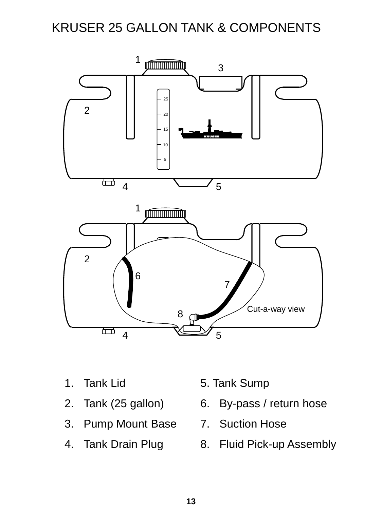# KRUSER 25 GALLON TANK & COMPONENTS



- 1. Tank Lid
- 2. Tank (25 gallon)
- 3. Pump Mount Base 7. Suction Hose
- 4. Tank Drain Plug
- 5. Tank Sump
- 6. By-pass / return hose
- 
- 8. Fluid Pick-up Assembly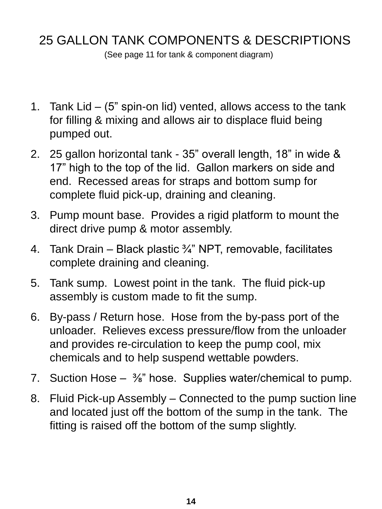# 25 GALLON TANK COMPONENTS & DESCRIPTIONS

(See page 11 for tank & component diagram)

- 1. Tank Lid (5" spin-on lid) vented, allows access to the tank for filling & mixing and allows air to displace fluid being pumped out.
- 2. 25 gallon horizontal tank 35" overall length, 18" in wide & 17" high to the top of the lid. Gallon markers on side and end. Recessed areas for straps and bottom sump for complete fluid pick-up, draining and cleaning.
- 3. Pump mount base. Provides a rigid platform to mount the direct drive pump & motor assembly.
- 4. Tank Drain Black plastic  $\frac{3}{4}$ " NPT, removable, facilitates complete draining and cleaning.
- 5. Tank sump. Lowest point in the tank. The fluid pick-up assembly is custom made to fit the sump.
- 6. By-pass / Return hose. Hose from the by-pass port of the unloader. Relieves excess pressure/flow from the unloader and provides re-circulation to keep the pump cool, mix chemicals and to help suspend wettable powders.
- 7. Suction Hose  $-$  <sup>3</sup>/<sub>8</sub>" hose. Supplies water/chemical to pump.
- 8. Fluid Pick-up Assembly Connected to the pump suction line and located just off the bottom of the sump in the tank. The fitting is raised off the bottom of the sump slightly.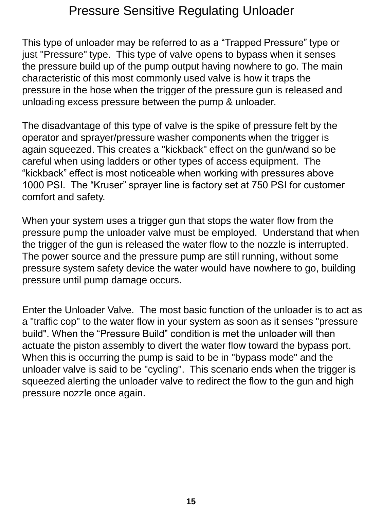### Pressure Sensitive Regulating Unloader

This type of unloader may be referred to as a "Trapped Pressure" type or just "Pressure" type. This type of valve opens to bypass when it senses the pressure build up of the pump output having nowhere to go. The main characteristic of this most commonly used valve is how it traps the pressure in the hose when the trigger of the pressure gun is released and unloading excess pressure between the pump & unloader.

The disadvantage of this type of valve is the spike of pressure felt by the operator and sprayer/pressure washer components when the trigger is again squeezed. This creates a "kickback" effect on the gun/wand so be careful when using ladders or other types of access equipment. The "kickback" effect is most noticeable when working with pressures above 1000 PSI. The "Kruser" sprayer line is factory set at 750 PSI for customer comfort and safety.

When your system uses a trigger gun that stops the water flow from the pressure pump the unloader valve must be employed. Understand that when the trigger of the gun is released the water flow to the nozzle is interrupted. The power source and the pressure pump are still running, without some pressure system safety device the water would have nowhere to go, building pressure until pump damage occurs.

Enter the Unloader Valve. The most basic function of the unloader is to act as a "traffic cop" to the water flow in your system as soon as it senses "pressure build". When the "Pressure Build" condition is met the unloader will then actuate the piston assembly to divert the water flow toward the bypass port. When this is occurring the pump is said to be in "bypass mode" and the unloader valve is said to be "cycling". This scenario ends when the trigger is squeezed alerting the unloader valve to redirect the flow to the gun and high pressure nozzle once again.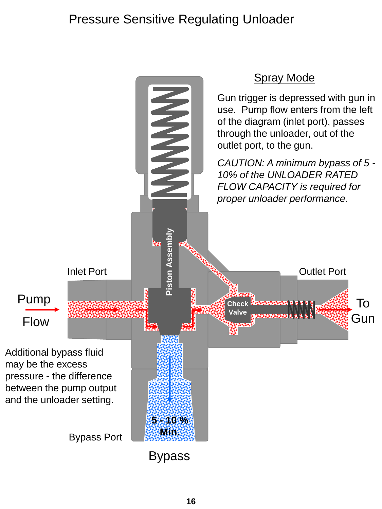# Pressure Sensitive Regulating Unloader

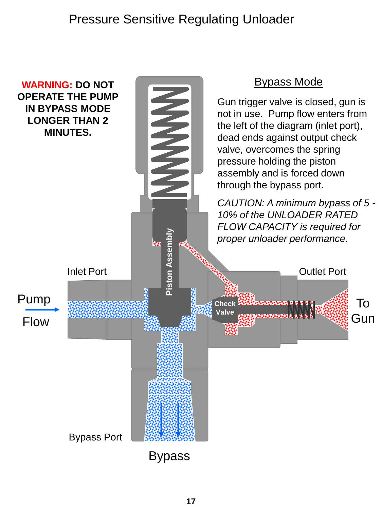### Pressure Sensitive Regulating Unloader

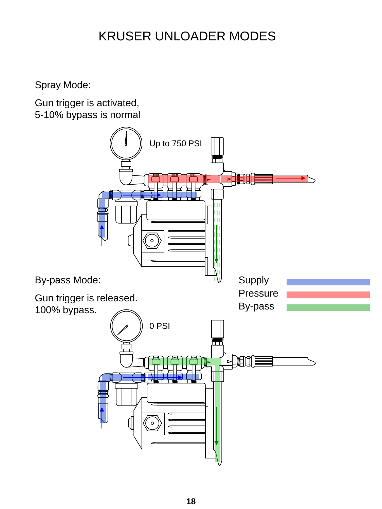# KRUSER UNLOADER MODES

Spray Mode:

Gun trigger is activated, 5-10% bypass is normal

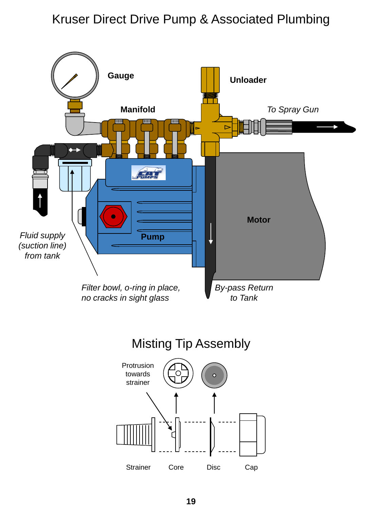### Kruser Direct Drive Pump & Associated Plumbing



Misting Tip Assembly

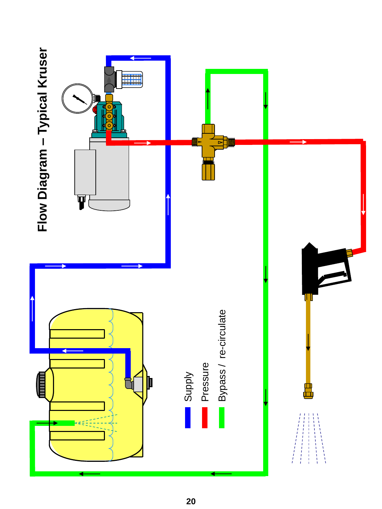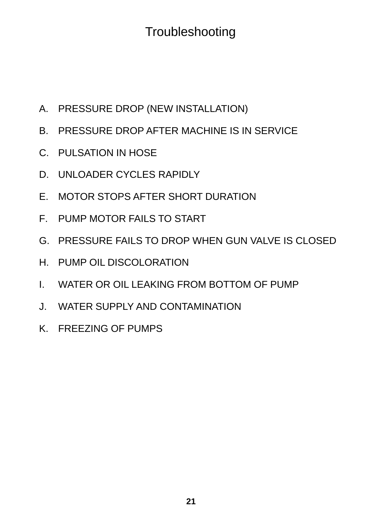# **Troubleshooting**

- A. PRESSURE DROP (NEW INSTALLATION)
- B. PRESSURE DROP AFTER MACHINE IS IN SERVICE
- C. PULSATION IN HOSE
- D. UNLOADER CYCLES RAPIDLY
- E. MOTOR STOPS AFTER SHORT DURATION
- F. PUMP MOTOR FAILS TO START
- G. PRESSURE FAILS TO DROP WHEN GUN VALVE IS CLOSED
- H. PUMP OIL DISCOLORATION
- I. WATER OR OIL LEAKING FROM BOTTOM OF PUMP
- J. WATER SUPPLY AND CONTAMINATION
- K. FREEZING OF PUMPS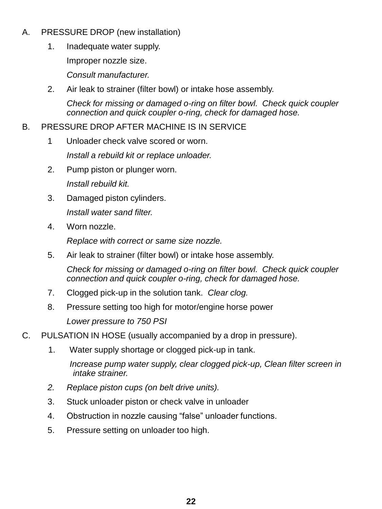- A. PRESSURE DROP (new installation)
	- 1. Inadequate water supply.

Improper nozzle size.

*Consult manufacturer.*

2. Air leak to strainer (filter bowl) or intake hose assembly.

*Check for missing or damaged o-ring on filter bowl. Check quick coupler connection and quick coupler o-ring, check for damaged hose.*

### B. PRESSURE DROP AFTER MACHINE IS IN SERVICE

- 1 Unloader check valve scored or worn. *Install a rebuild kit or replace unloader.*
- 2. Pump piston or plunger worn. *Install rebuild kit.*
- 3. Damaged piston cylinders. *Install water sand filter.*
- 4. Worn nozzle.

*Replace with correct or same size nozzle.*

5. Air leak to strainer (filter bowl) or intake hose assembly.

*Check for missing or damaged o-ring on filter bowl. Check quick coupler connection and quick coupler o-ring, check for damaged hose.*

- 7. Clogged pick-up in the solution tank. *Clear clog.*
- 8. Pressure setting too high for motor/engine horse power *Lower pressure to 750 PSI*

### C. PULSATION IN HOSE (usually accompanied by a drop in pressure).

- 1. Water supply shortage or clogged pick-up in tank. *Increase pump water supply, clear clogged pick-up, Clean filter screen in intake strainer.*
- *2. Replace piston cups (on belt drive units).*
- 3. Stuck unloader piston or check valve in unloader
- 4. Obstruction in nozzle causing "false" unloader functions.
- 5. Pressure setting on unloader too high.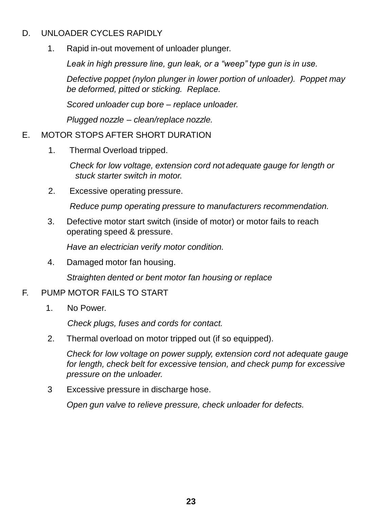#### D. UNLOADER CYCLES RAPIDLY

1. Rapid in-out movement of unloader plunger.

*Leak in high pressure line, gun leak, or a "weep" type gun is in use.*

*Defective poppet (nylon plunger in lower portion of unloader). Poppet may be deformed, pitted or sticking. Replace.*

*Scored unloader cup bore – replace unloader.*

*Plugged nozzle – clean/replace nozzle.*

#### E. MOTOR STOPS AFTER SHORT DURATION

1. Thermal Overload tripped.

 *Check for low voltage, extension cord not adequate gauge for length or stuck starter switch in motor.*

2. Excessive operating pressure.

*Reduce pump operating pressure to manufacturers recommendation.*

3. Defective motor start switch (inside of motor) or motor fails to reach operating speed & pressure.

*Have an electrician verify motor condition.*

4. Damaged motor fan housing.

*Straighten dented or bent motor fan housing or replace*

### F. PUMP MOTOR FAILS TO START

1. No Power.

*Check plugs, fuses and cords for contact.*

2. Thermal overload on motor tripped out (if so equipped).

*Check for low voltage on power supply, extension cord not adequate gauge for length, check belt for excessive tension, and check pump for excessive pressure on the unloader.*

3 Excessive pressure in discharge hose.

*Open gun valve to relieve pressure, check unloader for defects.*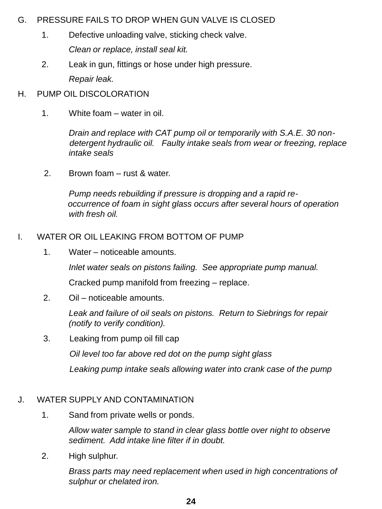#### G. PRESSURE FAILS TO DROP WHEN GUN VALVE IS CLOSED

- 1. Defective unloading valve, sticking check valve. *Clean or replace, install seal kit.*
- 2. Leak in gun, fittings or hose under high pressure. *Repair leak.*

### H. PUMP OIL DISCOLORATION

1. White foam – water in oil.

*Drain and replace with CAT pump oil or temporarily with S.A.E. 30 non detergent hydraulic oil. Faulty intake seals from wear or freezing, replace intake seals*

2. Brown foam – rust & water.

*Pump needs rebuilding if pressure is dropping and a rapid re occurrence of foam in sight glass occurs after several hours of operation with fresh oil.*

#### I. WATER OR OIL LEAKING FROM BOTTOM OF PUMP

1. Water – noticeable amounts.

*Inlet water seals on pistons failing. See appropriate pump manual.*

Cracked pump manifold from freezing – replace.

2. Oil – noticeable amounts.

*Leak and failure of oil seals on pistons. Return to Siebrings for repair (notify to verify condition).*

3. Leaking from pump oil fill cap

 *Oil level too far above red dot on the pump sight glass*

 *Leaking pump intake seals allowing water into crank case of the pump* 

### J. WATER SUPPLY AND CONTAMINATION

1. Sand from private wells or ponds.

*Allow water sample to stand in clear glass bottle over night to observe sediment. Add intake line filter if in doubt.*

2. High sulphur.

*Brass parts may need replacement when used in high concentrations of sulphur or chelated iron.*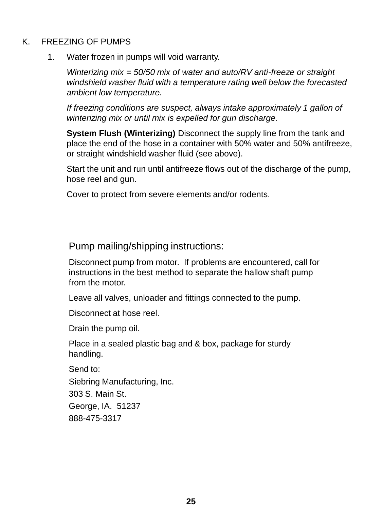#### K. FREEZING OF PUMPS

1. Water frozen in pumps will void warranty.

*Winterizing mix = 50/50 mix of water and auto/RV anti-freeze or straight windshield washer fluid with a temperature rating well below the forecasted ambient low temperature.* 

*If freezing conditions are suspect, always intake approximately 1 gallon of winterizing mix or until mix is expelled for gun discharge.*

**System Flush (Winterizing)** Disconnect the supply line from the tank and place the end of the hose in a container with 50% water and 50% antifreeze, or straight windshield washer fluid (see above).

Start the unit and run until antifreeze flows out of the discharge of the pump, hose reel and gun.

Cover to protect from severe elements and/or rodents.

Pump mailing/shipping instructions:

Disconnect pump from motor. If problems are encountered, call for instructions in the best method to separate the hallow shaft pump from the motor.

Leave all valves, unloader and fittings connected to the pump.

Disconnect at hose reel.

Drain the pump oil.

Place in a sealed plastic bag and & box, package for sturdy handling.

Send to: Siebring Manufacturing, Inc. 303 S. Main St. George, IA. 51237 888-475-3317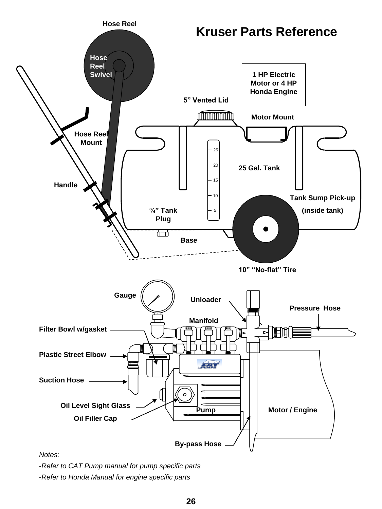

*Notes:*

-*Refer to CAT Pump manual for pump specific parts*

-*Refer to Honda Manual for engine specific parts*